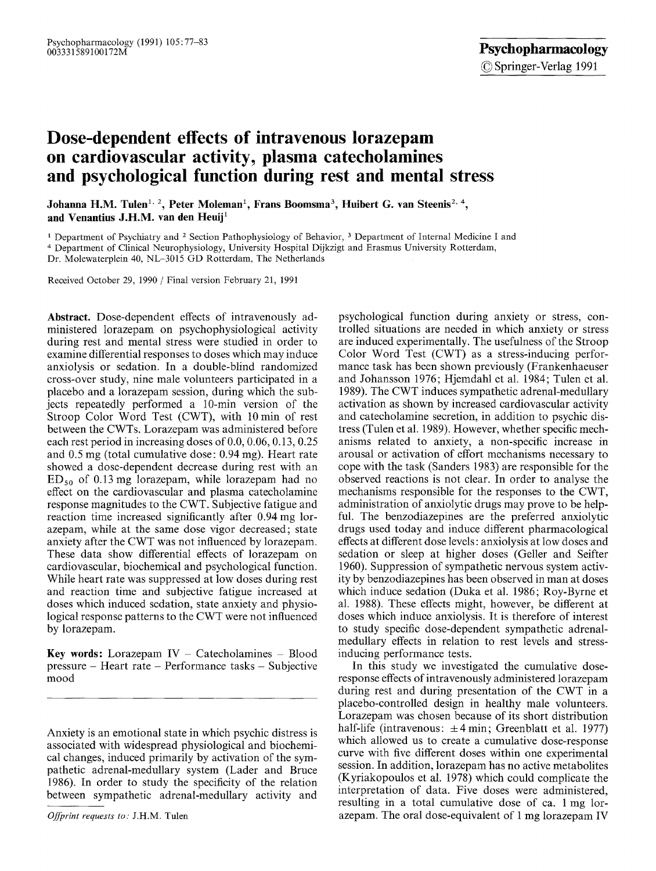# **Dose-dependent effects of intravenous lorazepam on cardiovascular activity, plasma catecholamines and psychological function during rest and mental stress**

Johanna H.M. Tulen<sup>1, 2</sup>, Peter Moleman<sup>1</sup>, Frans Boomsma<sup>3</sup>, Huibert G. van Steenis<sup>2, 4</sup>, and Venantius J.H.M. van den Heuij<sup>1</sup>

1 Department of Psychiatry and 2 Section Pathophysiology of Behavior, 3 Department of Internal Medicine I and

4 Department of Clinical Neurophysiology, University Hospital Dijkzigt and Erasmus University Rotterdam,

Dr. Molewaterplein 40, NL-3015 GD Rotterdam, The Netherlands

Received October 29, 1990 / Final version February 21, 1991

**Abstract.** Dose-dependent effects of intravenously administered lorazepam on psychophysiological activity during rest and mental stress were studied in order to examine differential responses to doses which may induce anxiolysis or sedation. In a double-blind randomized cross-over study, nine male volunteers participated in a placebo and a lorazepam session, during which the subjects repeatedly performed a 10-min version of the Stroop Color Word Test (CWT), with 10 min of rest between the CWTs. Lorazepam was administered before each rest period in increasing doses of 0.0, 0.06, 0.13, 0.25 and 0.5 mg (total cumulative dose: 0.94 mg). Heart rate showed a dose-dependent decrease during rest with an  $ED_{50}$  of 0.13 mg lorazepam, while lorazepam had no effect on the cardiovascular and plasma catecholamine response magnitudes to the CWT. Subjective fatigue and reaction time increased significantly after 0.94 mg lorazepam, while at the same dose vigor decreased; state anxiety after the CWT was not influenced by lorazepam. These data show differential effects of lorazepam on cardiovascular, biochemical and psychological function. While heart rate was suppressed at low doses during rest and reaction time and subjective fatigue increased at doses which induced sedation, state anxiety and physiological response patterns to the CWT were not influenced by lorazepam.

**Key words:** Lorazepam  $IV -$  Catecholamines  $-$  Blood pressure - Heart rate - Performance tasks - Subjective mood

Anxiety is an emotional state in which psychic distress is associated with widespread physiological and biochemical changes, induced primarily by activation of the sympathetic adrenal-medullary system (Lader and Bruce 1986). In order to study the specificity of the relation between sympathetic adrenal-medullary activity and

*Offprint requests to."* J.H.M. Tulen

psychological function during anxiety or stress, controlled situations are needed in which anxiety or stress are induced experimentally. The usefulness of the Stroop Color Word Test (CWT) as a stress-inducing performance task has been shown previously (Frankenhaeuser and Johansson 1976; Hjemdahl et al. 1984; Tulen et al. 1989). The CWT induces sympathetic adrenal-medullary activation as shown by increased cardiovascular activity and catecholamine secretion, in addition to psychic distress (Tulen et al. 1989). However, whether specific mechanisms related to anxiety, a non-specific increase in arousal or activation of effort mechanisms necessary to cope with the task (Sanders 1983) are responsible for the observed reactions is not clear. In order to analyse the mechanisms responsible for the responses to the CWT, administration of anxiolytic drugs may prove to be helpful. The benzodiazepines are the preferred anxiolytic drugs used today and induce different pharmacological effects at different dose levels: anxiolysis at low doses and sedation or sleep at higher doses (Geller and Seifter 1960). Suppression of sympathetic nervous system activity by benzodiazepines has been observed in man at doses which induce sedation (Duka et al. 1986; Roy-Byrne et al. 1988). These effects might, however, be different at doses which induce anxiolysis. It is therefore of interest to study specific dose-dependent sympathetic adrenalmedullary effects in relation to rest levels and stressinducing performance tests.

In this study we investigated the cumulative doseresponse effects of intravenously administered lorazepam during rest and during presentation of the CWT in a placebo-controlled design in healthy male volunteers. Lorazepam was chosen because of its short distribution half-life (intravenous:  $\pm 4$  min; Greenblatt et al. 1977) which allowed us to create a cumulative dose-response curve with five different doses within one experimental session. In addition, lorazepam has no active metabolites (Kyriakopoulos et al. 1978) which could complicate the interpretation of data. Five doses were administered, resulting in a total cumulative dose of ca. 1 mg lorazepam. The oral dose-equivalent of 1 mg lorazepam IV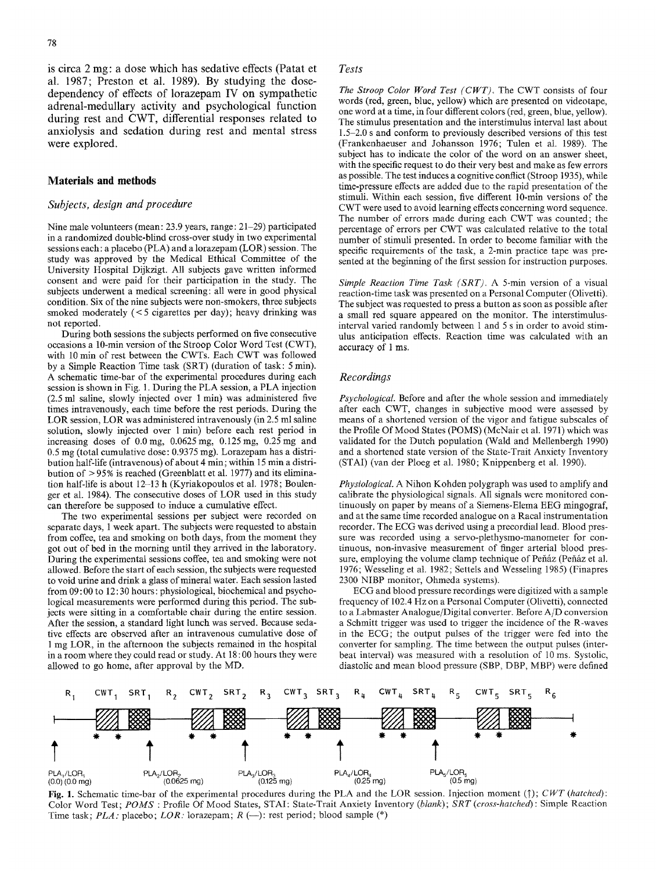is circa 2 mg: a dose which has sedative effects (Patat et al. 1987; Preston et al. 1989). By studying the dosedependency of effects of lorazepam IV on sympathetic adrenal-medullary activity and psychological function during rest and CWT, differential responses related to anxiolysis and sedation during rest and mental stress were explored,

#### **Materials and methods**

## *Subjects, design and procedure*

Nine male volunteers (mean: 23.9 years, range: 21-29) participated in a randomized double-blind cross-over study in two experimental sessions each: a placebo (PLA) and a lorazepam (LOR) session. The study was approved by the Medical Ethical Committee of the University Hospital Dijkzigt. All subjects gave written informed consent and were paid for their participation in the study. The subjects underwent a medical screening: all were in good physical condition. Six of the nine subjects were non-smokers, three subjects smoked moderately (< 5 cigarettes per day); heavy drinking was not reported.

During both sessions the subjects performed on five consecutive occasions a 10-min version of the Stroop Color Word Test (CWT), with 10 min of rest between the CWTs. Each CWT was followed by a Simple Reaction Time task (SRT) (duration of task: 5 min). A schematic time-bar of the experimental procedures during each session is shown in Fig. 1. During the PLA session, a PLA injection  $(2.5 \text{ ml} \text{ saline}, \text{slowly injected over } 1 \text{ min})$  was administered five times intravenously, each time before the rest periods. During the LOR session, LOR was administered intravenously (in 2.5 ml saline solution, slowly injected over 1 min) before each rest period in increasing doses of 0.0mg, 0.0625mg, 0.125mg, 0.25mg and 0.5 mg (total cumulative dose: 0.9375 rag). Lorazepam has a distribution half-life (intravenous) of about 4 min; within 15 min a distribution of > 95% is reached (Greenblatt et al. 1977) and its elimination half-life is about 12-13 h (Kyriakopoulos et al. 1978; Boulenget et al. 1984). The consecutive doses of LOR used in this study can therefore be supposed to induce a cumulative effect.

The two experimental sessions per subject were recorded on separate days, 1 week apart. The subjects were requested to abstain from coffee, tea and smoking on both days, from the moment they got out of bed in the morning until they arrived in the laboratory. During the experimental sessions coffee, tea and smoking were not allowed. Before the start of each session, the subjects were requested to void urine and drink a glass of mineral water. Each session lasted from 09:00 to 12:30 hours: physiological, biochemical and psychological measurements were performed during this period. The subjects were sitting in a comfortable chair during the entire session. After the session, a standard light lunch was served. Because sedative effects are observed after an intravenous cumulative dose of 1 mg LOR, in the afternoon the subjects remained in the hospital in a room where they could read or study. At 18:00 hours they were allowed to go home, after approval by the MD.

# *Tests*

*The Stroop Color Word Test (CWT)~* The CWT consists of four words (red, green, blue, yellow) which are presented on videotape, one word at a time, in four different colors (red, green, blue, yellow). The stimulus presentation and the interstimulus interval last about **1.5-2.0** s and conform to previously described versions of this test (Frankenhaeuser and Johansson 1976; Tulen et al. 1989). The subject has to indicate the color of the word on an answer sheet, with the specific request to do their very best and make as few errors as possible. The test induces a cognitive conflict (Stroop 1935), while time-pressure effects are added due to the rapid presentation of the stimuli. Within each session, five different 10-min versions of the CWT were used to avoid learning effects concerning word sequence. The number of errors made during each CWT was counted; the percentage of errors per CWT was calculated relative to the total number of stimuli presented. In order to become familiar with the specific requirements of the task, a 2-min practice tape was presented at the beginning of the first session for instruction purposes.

*Simple Reaction Time Task (SRT).* A 5-min version of a visual reaction-time task was presented on a Personal Computer (Olivetti). The subject was requested to press a button as soon as possible after a small red square appeared on the monitor. The interstimulusinterval varied randomly between 1 and 5 s in order to avoid stimulus anticipation effects. Reaction time was calculated with an accuracy of 1 ms.

## *Recordings*

*Psychological.* Before and after the whole session and immediately after each CWT, changes in subjective mood were assessed by means of a shortened version of the vigor and fatigue subscales of the Profile Of Mood States (POMS) (McNair et al. 1971) which was validated for the Dutch population (Wald and Mellenbergh 1990) and a shortened state version of the State-Trait Anxiety Inventory (STAI) (van der Ploeg et al. 1980; Knippenberg et al. 1990).

*Physiological.* A Nihon Kohden polygraph was used to amplify and calibrate the physiological signals. All signals were monitored continuously on paper by means of a Siemens-Elema EEG mingograf, and at the same time recorded analogue on a Racal instrumentation recorder. The ECG was derived using a precordial lead. Blood pressure was recorded using a servo-plethysmo-manometer for continuous, non-invasive measurement of finger arterial blood pressure, employing the volume clamp technique of Peňáz (Peňáz et al. 1976; Wesseling et al. 1982; Settels and Wesseling 1985) (Finapres 2300 NIBP monitor, Ohmeda systems).

ECG and blood pressure recordings were digitized with a sample frequency of 102.4 Hz on a Personal Computer (Olivetti), connected to a Labmaster Analogue/Digital converter. Before A/D conversion a Schmitt trigger was used to trigger the incidence of the R-waves in the ECG; the output pulses of the trigger were fed into the converter for sampling. The time between the output pulses (interbeat interval) was measured with a resolution of 10 ms. Systolic, diastolic and mean blood pressure (SBP, DBP, MBP) were defined



**Fig.** 1. Schematic time-bar of the experimental procedures during the PLA and the LOR session. Injection moment (]'); *CWT (hatched):*  Color Word Test; *POMS* : Profile Of Mood States, STAI: State-Trait Anxiety Inventory *(blank); SRT (cross-hatched):* Simple Reaction Time task; *PLA:* placebo; *LOR:* lorazepam;  $R$  (-): rest period; blood sample (\*)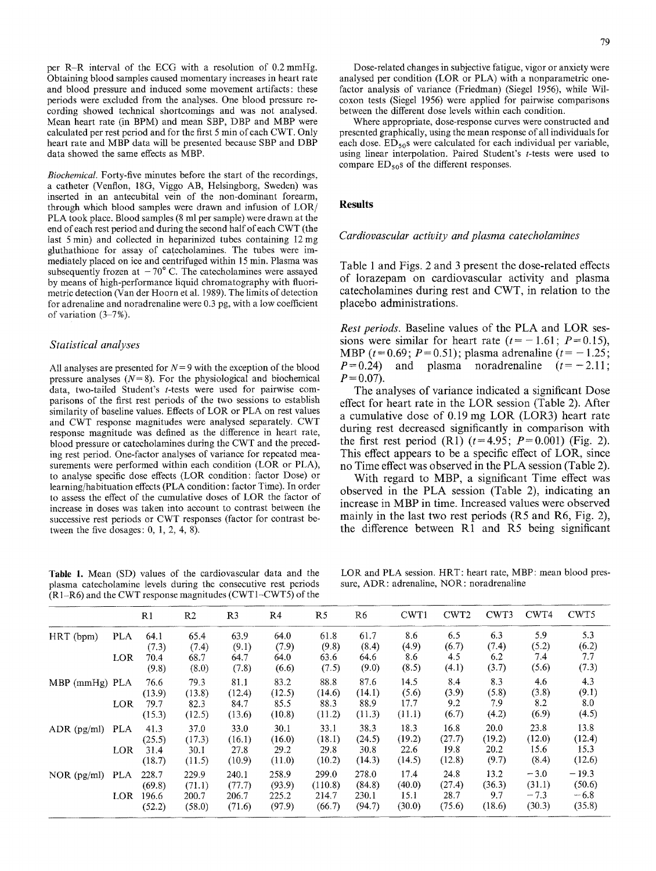per R-R interval of the ECG with a resolution of 0.2 mmHg. Obtaining blood samples caused momentary increases in heart rate and blood pressure and induced some movement artifacts: these periods were excluded from the analyses. One blood pressure recording showed technical shortcomings and was not analysed. Mean heart rate (in BPM) and mean SBP, DBP and MBP were calculated per rest period and for the first 5 min of each CWT. Only heart rate and MBP data will be presented because SBP and DBP data showed the same effects as MBP.

*Biochemical.* Forty-five minutes before the start of the recordings, a catheter (Venflon, 18G, Viggo AB, Helsingborg, Sweden) was inserted in an antecubital vein of the non-dominant forearm, through which blood samples were drawn and infusion of *LOR/*  PLA took place. Blood samples (8 ml per sample) were drawn at the end of each rest period and during the second half of each CWT (the last 5 min) and collected in heparinized tubes containing 12 mg gluthathione for assay of catecholamines. The tubes were immediately placed on ice and centrifuged within 15 min. Plasma was subsequently frozen at  $-70^{\circ}$  C. The catecholamines were assayed by means of high-performance liquid chromatography with fluorimetric detection (Van der Hoorn et al. 1989). The limits of detection for adrenaline and noradrenaline were  $0.3$  pg, with a low coefficient of variation (3-7%).

# *Statistical analyses*

All analyses are presented for  $N = 9$  with the exception of the blood pressure analyses  $(N=8)$ . For the physiological and biochemical data, two-tailed Student's t-tests were used for pairwise comparisons of the first rest periods of the two sessions to establish similarity of baseline values. Effects of LOR or PLA on rest values and CWT response magnitudes were analysed separately. CWT response magnitude was defined as the difference in heart rate, blood pressure or catecholamines during the CWT and the preceding rest period. One-factor analyses of variance for repeated measurements were performed within each condition (LOR or PLA), to analyse specific dose effects (LOR condition: factor Dose) or learning/habituation effects (PLA condition: factor Time). In order to assess the effect of the cumulative doses of LOR the factor of increase in doses was taken into account to contrast between the successive rest periods or CWT responses (factor for contrast between the five dosages: 0, 1, 2, 4, 8).

Table 1. Mean (SD) values of the cardiovascular data and the plasma catecholamine levels during the consecutive rest periods  $(R 1-R6)$  and the CWT response magnitudes (CWT1-CWT5) of the

Dose-related changes in subjective fatigue, vigor or anxiety were analysed per condition (LOR or PLA) with a nonparametric onefactor analysis of variance (Friedman) (Siegel 1956), while Wilcoxon tests (Siegel 1956) were applied for pairwise comparisons between the different dose levels within each condition.

Where appropriate, dose-response curves were constructed and presented graphically, using the mean response of all individuals for each dose.  $ED_{50}$ s were calculated for each individual per variable, using linear interpolation. Paired Student's t-tests were used to compare  $ED_{50}$ s of the different responses.

# **Results**

## *Cardiovascular activity and plasma catecholamines*

Table 1 and Figs. 2 and 3 present the dose-related effects of lorazepam on cardiovascular activity and plasma catecholamines during rest and CWT, in relation to the placebo administrations.

*Rest periods.* Baseline values of the PLA and LOR sessions were similar for heart rate  $(t=-1.61; P=0.15)$ , MBP ( $t = 0.69$ ;  $P = 0.51$ ); plasma adrenaline ( $t = -1.25$ ;  $P=0.24$ ) and plasma noradrenaline  $(t=-2.11)$ ;  $P = 0.07$ .

The analyses of variance indicated a significant Dose effect for heart rate in the LOR session (Table 2). After a cumulative dose of 0.19 mg LOR (LOR3) heart rate during rest decreased significantly in comparison with the first rest period  $(R1)$   $(t=4.95; P=0.001)$  (Fig. 2). This effect appears to be a specific effect of LOR, since no Time effect was observed in the PLA session (Table 2).

With regard to MBP, a significant Time effect was observed in the PLA session (Table 2), indicating an increase in MBP in time. Increased values were observed mainly in the last two rest periods (R5 and R6, Fig. 2), the difference between R1 and R5 being significant

LOR and PLA session. HRT: heart rate, MBP: mean blood pressure, ADR: adrenaline, NOR: noradrenaline

|                  |            | R1              | R <sub>2</sub>  | R <sub>3</sub>  | R4              | R5               | R6              | CWT1           | CWT <sub>2</sub> | CWT3           | CWT4             | CWT5              |
|------------------|------------|-----------------|-----------------|-----------------|-----------------|------------------|-----------------|----------------|------------------|----------------|------------------|-------------------|
| HRT (bpm)        | <b>PLA</b> | 64.1<br>(7.3)   | 65.4<br>(7.4)   | 63.9<br>(9.1)   | 64.0<br>(7.9)   | 61.8<br>(9.8)    | 61.7<br>(8.4)   | 8.6<br>(4.9)   | 6.5<br>(6.7)     | 6.3<br>(7.4)   | 5.9<br>(5.2)     | 5.3<br>(6.2)      |
|                  | LOR        | 70.4<br>(9.8)   | 68.7<br>(8.0)   | 64.7<br>(7.8)   | 64.0<br>(6.6)   | 63.6<br>(7.5)    | 64.6<br>(9.0)   | 8.6<br>(8.5)   | 4.5<br>(4.1)     | 6.2<br>(3.7)   | 7.4<br>(5.6)     | 7.7<br>(7.3)      |
| $MBP$ (mmHg) PLA |            | 76.6<br>(13.9)  | 79.3<br>(13.8)  | 81.1<br>(12.4)  | 83.2<br>(12.5)  | 88.8<br>(14.6)   | 87.6<br>(14.1)  | 14.5<br>(5.6)  | 8.4<br>(3.9)     | 8.3<br>(5.8)   | 4.6<br>(3.8)     | 4.3<br>(9.1)      |
|                  | LOR        | 79.7<br>(15.3)  | 82.3<br>(12.5)  | 84.7<br>(13.6)  | 85.5<br>(10.8)  | 88.3<br>(11.2)   | 88.9<br>(11.3)  | 17.7<br>(11.1) | 9.2<br>(6.7)     | 7.9<br>(4.2)   | 8.2<br>(6.9)     | 8.0<br>(4.5)      |
| ADR $(pg/ml)$    | <b>PLA</b> | 41.3<br>(25.5)  | 37.0<br>(17.3)  | 33.0<br>(16.1)  | 30.1<br>(16.0)  | 33.1<br>(18.1)   | 38.3<br>(24.5)  | 18.3<br>(19.2) | 16.8<br>(27.7)   | 20.0<br>(19.2) | 23.8<br>(12.0)   | 13.8<br>(12.4)    |
|                  | LOR        | 31.4<br>(18.7)  | 30.1<br>(11.5)  | 27.8<br>(10.9)  | 29.2<br>(11.0)  | 29.8<br>(10.2)   | 30.8<br>(14.3)  | 22.6<br>(14.5) | 19.8<br>(12.8)   | 20.2<br>(9.7)  | 15.6<br>(8.4)    | 15.3<br>(12.6)    |
| NOR $(pg/ml)$    | PLA        | 228.7<br>(69.8) | 229.9<br>(71.1) | 240.1<br>(77.7) | 258.9<br>(93.9) | 299.0<br>(110.8) | 278.0<br>(84.8) | 17.4<br>(40.0) | 24.8<br>(27.4)   | 13.2<br>(36.3) | $-3.0$<br>(31.1) | $-19.3$<br>(50.6) |
|                  | LOR        | 196.6<br>(52.2) | 200.7<br>(58.0) | 206.7<br>(71.6) | 225.2<br>(97.9) | 214.7<br>(66.7)  | 230.1<br>(94.7) | 15.1<br>(30.0) | 28.7<br>(75.6)   | 9.7<br>(18.6)  | $-7.3$<br>(30.3) | $-6.8$<br>(35.8)  |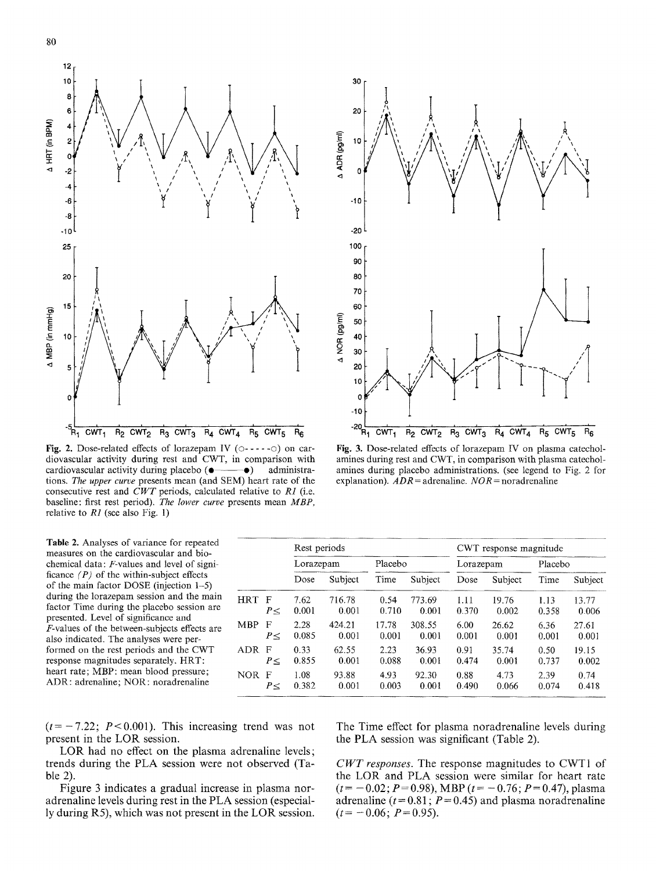

Fig. 2. Dose-related effects of lorazepam IV ( $\circ$ ----- $\circ$ ) on cardiovascular activity during rest and CWT, in comparison with cardiovascular activity during placebo  $(\bullet \rightarrow \bullet)$  administrations. *The upper curve* presents mean (and SEM) heart rate of the consecutive rest and *CWT* periods, calculated relative to *R1* (i.e. baseline: first rest period). *The lower curve* presents mean *MBP,*  relative to *R1* (see also Fig. 1)

Table 2. Analyses of variance for repeated measures on the cardiovascular and biochemical data: F-values and level of significance *(P)* of the within-subject effects of the main factor DOSE (injection 1-5) during the lorazepam session and the main factor Time during the placebo session are presented, Level of significance and  $F$ -values of the between-subjects effects are also indicated. The analyses were performed on the rest periods and the CWT response magnitudes separately. HRT: heart rate; MBP: mean blood pressure; ADR: adrenaline; NOR: noradrenaline



**Fig, 3.** Dose-related effects of lorazepam IV on plasma catecholamines during rest and CWT, in comparison with plasma catecholamines during placebo administrations. (see legend to Fig. 2 for explanation).  $ADR =$  adrenaline.  $NOR =$  noradrenaline

|            |          | Rest periods |         |         |         |           | CWT response magnitude |         |         |
|------------|----------|--------------|---------|---------|---------|-----------|------------------------|---------|---------|
|            |          | Lorazepam    |         | Placebo |         | Lorazepam |                        | Placebo |         |
|            |          | Dose         | Subject | Time    | Subject | Dose      | Subject                | Time    | Subject |
| <b>HRT</b> | F        | 7.62         | 716.78  | 0.54    | 773.69  | 1.11      | 19.76                  | 1.13    | 13.77   |
|            | P<       | 0.001        | 0.001   | 0.710   | 0.001   | 0.370     | 0.002                  | 0.358   | 0.006   |
| <b>MBP</b> | F        | 2.28         | 424.21  | 17.78   | 308.55  | 6.00      | 26.62                  | 6.36    | 27.61   |
|            | $P \leq$ | 0.085        | 0.001   | 0.001   | 0.001   | 0.001     | 0.001                  | 0.001   | 0.001   |
| <b>ADR</b> | F        | 0.33         | 62.55   | 2.23    | 36.93   | 0.91      | 35.74                  | 0.50    | 19.15   |
|            | $P \leq$ | 0.855        | 0.001   | 0.088   | 0.001   | 0.474     | 0.001                  | 0.737   | 0.002   |
| <b>NOR</b> | F        | 1.08         | 93.88   | 4.93    | 92.30   | 0.88      | 4.73                   | 2.39    | 0.74    |
|            | $P \leq$ | 0.382        | 0.001   | 0.003   | 0.001   | 0.490     | 0.066                  | 0.074   | 0.418   |

 $(t = -7.22; P < 0.001)$ . This increasing trend was not present in the LOR session.

LOR had no effect on the plasma adrenaline levels; trends during the PLA session were not observed (Table 2).

Figure 3 indicates a gradual increase in plasma noradrenaline levels during rest in the PLA session (especially during R5), which was not present in the LOR session. The Time effect for plasma noradrenaline tevels during the PLA session was significant (Table 2).

*CWT responses.* The response magnitudes to CWT1 of the LOR and PLA session were similar for heart rate  $(t = -0.02; P=0.98)$ , MBP  $(t = -0.76; P=0.47)$ , plasma adrenaline ( $t = 0.81$ ;  $P = 0.45$ ) and plasma noradrenaline  $(t = -0.06; P=0.95).$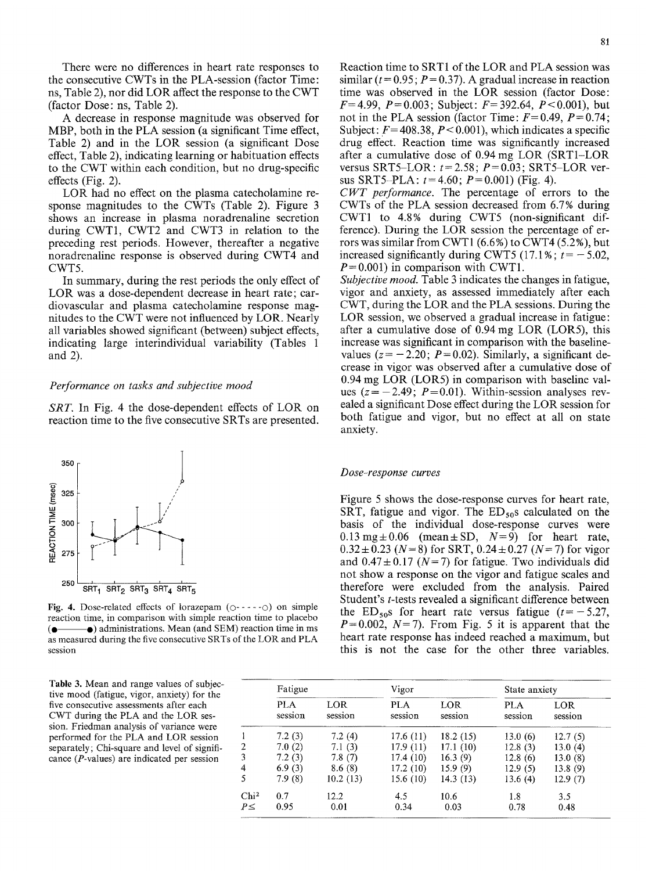There were no differences in heart rate responses to the consecutive CWTs in the PLA-session (factor Time: ns, Table 2), nor did LOR affect the response to the CWT (factor Dose: ns, Table 2).

A decrease in response magnitude was observed for MBP, both in the PLA session (a significant Time effect, Table 2) and in the LOR session (a significant Dose effect, Table 2), indicating learning or habituation effects to the CWT within each condition, but no drug-specific effects (Fig. 2).

LOR had no effect on the plasma catecholamine response magnitudes to the CWTs (Table 2). Figure 3 shows an increase in plasma noradrenaline secretion during CWT1, CWT2 and CWT3 in relation to the preceding rest periods. However, thereafter a negative noradrenaline response is observed during CWT4 and CWT5.

In summary, during the rest periods the only effect of LOR was a dose-dependent decrease in heart rate; cardiovascular and plasma catecholamine response magnitudes to the CWT were not influenced by LOR. Nearly all variables showed significant (between) subject effects, indicating large interindividual variability (Tables 1 and 2).

#### *Performance on tasks and subjective mood*

*SRT.* In Fig. 4 the dose-dependent effects of LOR on reaction time to the five consecutive SRTs are presented.



Fig. 4. Dose-related effects of lorazepam  $(0 - \cdots 0)$  on simple reaction time, in comparison with simple reaction time to placebo  $\left( \bullet \right)$  administrations. Mean (and SEM) reaction time in ms as measured during the five consecutive SRTs of the LOR and PLA session

Table 3. Mean and range values of subjective mood (fatigue, vigor, anxiety) for the five consecutive assessments after each CWT during the PLA and the LOR session. Friedman analysis of variance were performed for the PLA and LOR session separately; Chi-square and level of significance (P-values) are indicated per session

Reaction time to SRT1 of the LOR and PLA session was similar ( $t = 0.95$ ;  $P = 0.37$ ). A gradual increase in reaction time was observed in the LOR session (factor Dose:  $F=4.99$ ,  $P=0.003$ ; Subject:  $F=392.64$ ,  $P<0.001$ ), but not in the PLA session (factor Time:  $F=0.49$ ,  $P=0.74$ ; Subject:  $F = 408.38$ ,  $P < 0.001$ ), which indicates a specific drug effect. Reaction time was significantly increased after a cumulative dose of 0.94 mg LOR (SRT1-LOR versus SRT5-LOR:  $t=2.58$ ;  $P=0.03$ ; SRT5-LOR versus SRT5-PLA:  $t=4.60$ ;  $P=0.001$ ) (Fig. 4).

*CWT performance.* The percentage of errors to the CWTs of the PLA session decreased from 6.7% during CWT1 to 4.8% during CWT5 (non-significant difference). During the LOR session the percentage of errors was similar from CWT1 (6.6%) to CWT4 (5.2%), but increased significantly during CWT5 (17.1%;  $t = -5.02$ ,  $P = 0.001$ ) in comparison with CWT1.

*Subjective mood.* Table 3 indicates the changes in fatigue, vigor and anxiety, as assessed immediately after each CWT, during the LOR and the PLA sessions. During the LOR session, we observed a gradual increase in fatigue: after a cumulative dose of 0.94 mg LOR (LOR5), this increase was significant in comparison with the baselinevalues  $(z = -2.20; P= 0.02)$ . Similarly, a significant decrease in vigor was observed after a cumulative dose of 0.94 mg LOR (LOR5) in comparison with baseline values  $(z=-2.49; P=0.01)$ . Within-session analyses revealed a significant Dose effect during the LOR session for both fatigue and vigor, but no effect at all on state anxiety.

#### *Dose~response curves*

Figure 5 shows the dose-response curves for heart rate, SRT, fatigue and vigor. The  $ED_{50}$ s calculated on the basis of the individual dose-response curves were  $0.13 \text{ mg} \pm 0.06$  (mean  $\pm$  SD,  $N=9$ ) for heart rate,  $0.32 \pm 0.23$  (N = 8) for SRT,  $0.24 \pm 0.27$  (N = 7) for vigor and  $0.47 \pm 0.17$  (N = 7) for fatigue. Two individuals did not show a response on the vigor and fatigue scales and therefore were excluded from the analysis. Paired Student's t-tests revealed a significant difference between the ED<sub>50</sub>s for heart rate versus fatigue  $(t=-5.27,$  $P=0.002$ ,  $N=7$ ). From Fig. 5 it is apparent that the heart rate response has indeed reached a maximum, but this is not the case for the other three variables.

|                  | Fatigue               |                | Vigor                 |                 | State anxiety  |                |  |
|------------------|-----------------------|----------------|-----------------------|-----------------|----------------|----------------|--|
|                  | <b>PLA</b><br>session | LOR<br>session | <b>PLA</b><br>session | LOR.<br>session | PLA<br>session | LOR<br>session |  |
|                  | 7.2(3)                | 7.2(4)         | 17.6(11)              | 18.2(15)        | 13.0(6)        | 12.7(5)        |  |
| 2                | 7.0(2)                | 7.1(3)         | 17.9 (11)             | 17.1(10)        | 12.8(3)        | 13.0(4)        |  |
| 3                | 7.2(3)                | 7.8(7)         | 17.4 (10)             | 16.3(9)         | 12.8(6)        | 13.0(8)        |  |
| 4                | 6.9(3)                | 8.6(8)         | 17.2(10)              | 15.9(9)         | 12.9(5)        | 13.8(9)        |  |
| 5                | 7.9(8)                | 10.2(13)       | 15.6 (10)             | 14.3(13)        | 13.6(4)        | 12.9(7)        |  |
| Chi <sup>2</sup> | 0.7                   | 12.2           | 4.5                   | 10.6            | 1.8            | 3.5            |  |
| $P \leq$         | 0.95                  | 0.01           | 0.34                  | 0.03            | 0.78           | 0.48           |  |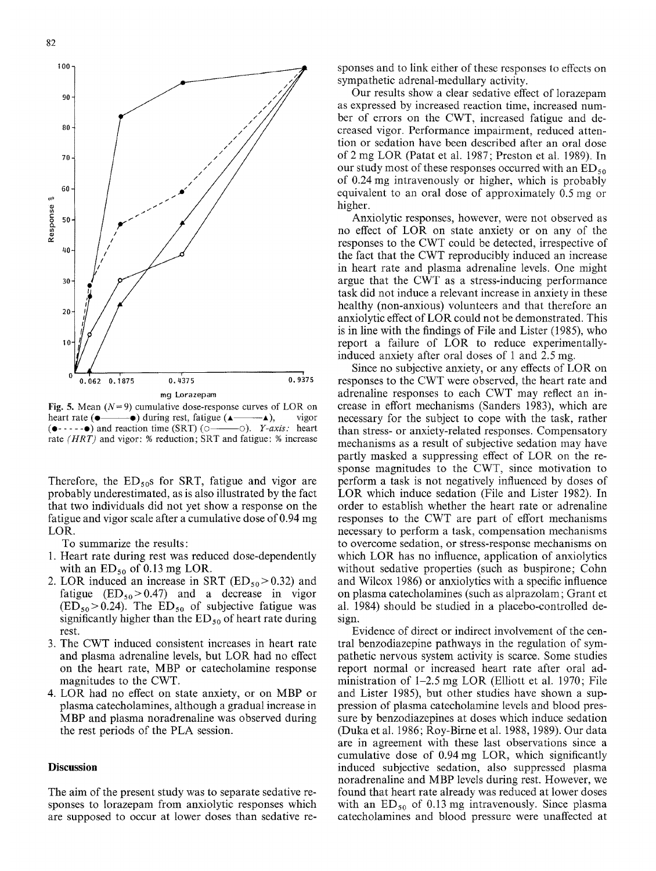

**Fig. 5.** Mean  $(N=9)$  cumulative dose-response curves of LOR on heart rate ( $\bullet$ —— $\bullet$ ) during rest, fatigue ( $\bullet$ —— $\bullet$ ), vigor ( $\bullet$ ---- $\bullet$ ) and reaction time (SRT) ( $\circ$ —— $\circ$ ). *Y-axis:* heart  $( \cdot$  $\cdot$  $\cdot$  $\cdot$  $\bullet$ ) and reaction time (SRT) ( $\circ$ rate *(HRT)* and vigor: % reduction; SRT and fatigue: % increase

Therefore, the  $ED_{50}$ s for SRT, fatigue and vigor are probably underestimated, as is also illustrated by the fact that two individuals did not yet show a response on the fatigue and vigor scale after a cumulative dose of 0.94 mg LOR.

To summarize the results:

- 1. Heart rate during rest was reduced dose-dependently with an  $ED_{50}$  of 0.13 mg LOR.
- 2. LOR induced an increase in SRT ( $ED_{50}$  > 0.32) and fatigue  $(ED_{50} > 0.47)$  and a decrease in vigor  $(ED_{50} > 0.24)$ . The  $ED_{50}$  of subjective fatigue was significantly higher than the  $ED_{50}$  of heart rate during rest.
- 3. The CWT induced consistent increases in heart rate and plasma adrenaline levels, but LOR had no effect on the heart rate, MBP or catecholamine response magnitudes to the CWT.
- 4. LOR had no effect on state anxiety, or on MBP or plasma catecholamines, although a gradual increase in MBP and plasma noradrenaline was observed during the rest periods of the PLA session.

## **Discussion**

The aim of the present study was to separate sedative responses to lorazepam from anxiolytic responses which are supposed to occur at lower doses than sedative responses and to link either of these responses to effects on sympathetic adrenal-medullary activity.

Our results show a clear sedative effect of lorazepam as expressed by increased reaction time, increased number of errors on the CWT, increased fatigue and decreased vigor. Performance impairment, reduced attention or sedation have been described after an oral dose of 2 mg LOR (Patat et al. 1987; Preston et al. 1989). In our study most of these responses occurred with an  $ED_{50}$ of 0.24 mg intravenously or higher, which is probably equivalent to an oral dose of approximately 0.5 mg or higher.

Anxiolytic responses, however, were not observed as no effect of LOR on state anxiety or on any of the responses to the CWT could be detected, irrespective of the fact that the CWT reproducibly induced an increase in heart rate and plasma adrenaline levels. One might argue that the CWT as a stress-inducing performance task did not induce a relevant increase in anxiety in these healthy (non-anxious) volunteers and that therefore an anxiolytic effect of LOR could not be demonstrated. This is in line with the findings of File and Lister (1985), who report a failure of LOR to reduce experimentallyinduced anxiety after oral doses of 1 and 2.5 mg.

Since no subjective anxiety, or any effects of LOR on responses to the CWT were observed, the heart rate and adrenaline responses to each CWT may reflect an increase in effort mechanisms (Sanders 1983), which are necessary for the subject to cope with the task, rather than stress- or anxiety-related responses. Compensatory mechanisms as a result of subjective sedation may have partly masked a suppressing effect of LOR on the response magnitudes to the CWT, since motivation to perform a task is not negatively influenced by doses of LOR which induce sedation (File and Lister 1982). In order to establish whether the heart rate or adrenaline responses to the CWT are part of effort mechanisms necessary to perform a task, compensation mechanisms to overcome sedation, or stress-response mechanisms on which LOR has no influence, application of anxiolytics without sedative properties (such as buspirone; Cohn and Wilcox 1986) or anxiolytics with a specific influence on plasma catecholamines (such as alprazolam; Grant et al. t984) should be studied in a placebo-controlled design.

Evidence of direct or indirect involvement of the central benzodiazepine pathways in the regulation of sympathetic nervous system activity is scarce. Some studies report normal or increased heart rate after oral administration of 1-2.5 mg LOR (Elliott et al. 1970; File and Lister 1985), but other studies have shown a suppression of plasma catecholamine levels and blood pressure by benzodiazepines at doses which induce sedation (Duka et al. 1986; Roy-Birne et al. 1988, 1989). Our data are in agreement with these last observations since a cumulative dose of 0.94 mg LOR, which significantly induced subjective sedation, also suppressed plasma noradrenaline and MBP levels during rest. However, we found that heart rate already was reduced at lower doses with an  $ED_{50}$  of 0.13 mg intravenously. Since plasma catecholamines and blood pressure were unaffected at